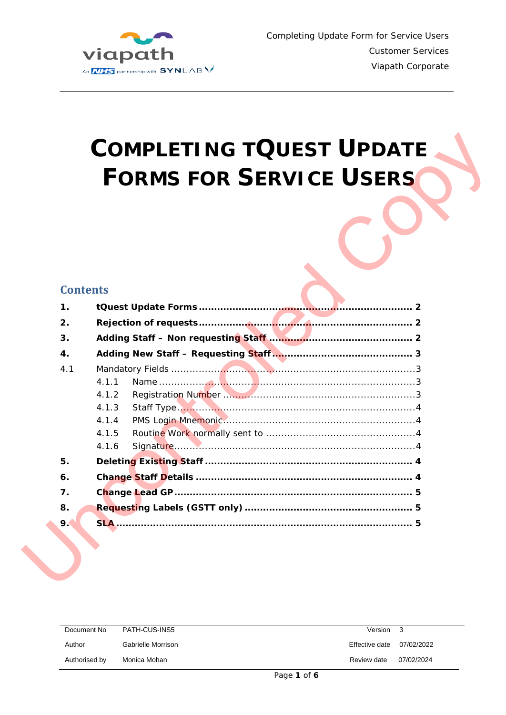

# **COMPLETING TQUEST UPDATE FORMS FOR SERVICE USERS**

## **Contents**

|                |                 | <b>FORMS FOR SERVICE USERS</b> |
|----------------|-----------------|--------------------------------|
|                |                 |                                |
|                |                 |                                |
|                |                 |                                |
|                |                 |                                |
|                |                 |                                |
|                |                 |                                |
|                | <b>Contents</b> |                                |
| $\mathbf{1}$ . |                 |                                |
| 2.             |                 |                                |
| 3.             |                 |                                |
| $\mathbf{4}$ . |                 |                                |
| 4.1            |                 |                                |
|                | 4.1.1           |                                |
|                | 4.1.2           |                                |
|                | 4.1.3           |                                |
|                | 4.1.4           |                                |
|                | 4.1.5           |                                |
|                | 4.1.6           |                                |
| 5.             |                 |                                |
| 6.             |                 |                                |
| 7.             |                 |                                |
| 8.             |                 |                                |
| 9.             |                 |                                |
|                |                 |                                |

| Document No   | PATH-CUS-INS5      |   | Version        | -3         |
|---------------|--------------------|---|----------------|------------|
| Author        | Gabrielle Morrison |   | Effective date | 07/02/2022 |
| Authorised by | Monica Mohan       |   | Review date    | 07/02/2024 |
|               |                    | . |                |            |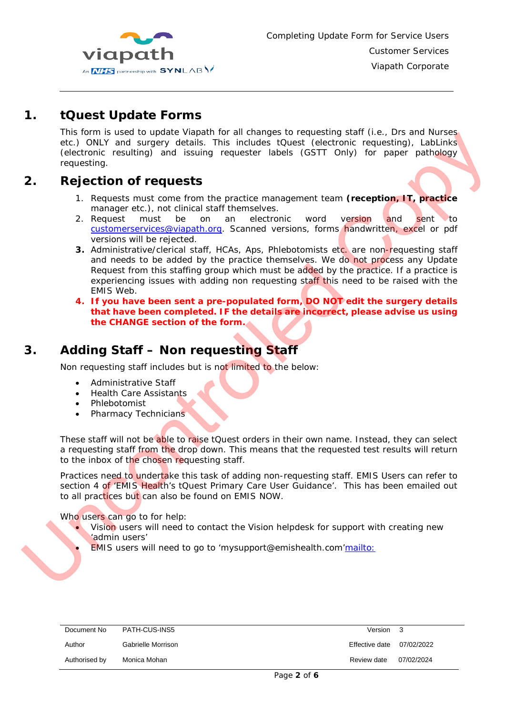

## *1. tQuest Update Forms*

<span id="page-1-0"></span>This form is used to update Viapath for all changes to requesting staff (i.e., Drs and Nurses etc.) ONLY and surgery details. This includes tQuest (electronic requesting), LabLinks (electronic resulting) and issuing requester labels (GSTT Only) for paper pathology requesting.

## **2. Rejection of requests**

- <span id="page-1-1"></span>1. Requests must come from the practice management team **(reception, IT, practice**  manager etc.), not clinical staff themselves.
- 2. Request must be on an electronic word version and sent to [customerservices@viapath.org.](mailto:customerservices@viapath.org) Scanned versions, forms handwritten, excel or pdf versions will be rejected.
- **3.** Administrative/clerical staff, HCAs, Aps, Phlebotomists etc. are non-requesting staff and needs to be added by the practice themselves. We do not process any Update Request from this staffing group which must be added by the practice. If a practice is experiencing issues with adding non requesting staff this need to be raised with the EMIS Web. Request from this staffing group which must be added by the previewerienching issues with adding non requesting staff this need MI fyou have been completed. IF the details are incorrect, ple this text of the cHANGE sectio Ing start (i.e., Distant Nurses<br>ctronic requesting), LabLinks<br>Only) for paper pathology<br>eam (reception, IT, practice<br>version and sent to<br>ms handwritten, excel or pdf<br>etc. are non-requesting staff<br>le do not process any Upda
	- **4. If you have been sent a pre-populated form, DO NOT edit the surgery details that have been completed. IF the details are incorrect, please advise us using the CHANGE section of the form.**

# **3. Adding Staff – Non requesting Staff**

<span id="page-1-2"></span>Non requesting staff includes but is not limited to the below:

- Administrative Staff
- Health Care Assistants
- Phlebotomist
- Pharmacy Technicians

These staff will not be able to raise tQuest orders in their own name. Instead, they can select a requesting staff from the drop down. This means that the requested test results will return to the inbox of the chosen requesting staff.

Practices need to undertake this task of adding non-requesting staff. EMIS Users can refer to section 4 of 'EMIS Health's tQuest Primary Care User Guidance'. This has been emailed out to all practices but can also be found on EMIS NOW.

Who users can go to for help:

- Vision users will need to contact the Vision helpdesk for support with creating new 'admin users'
- EMIS users will need to go to 'mysupport@emishealth.com['mailto:](mailto:)

| Document No   | PATH-CUS-INS5      | Version 3      |            |
|---------------|--------------------|----------------|------------|
| Author        | Gabrielle Morrison | Effective date | 07/02/2022 |
| Authorised by | Monica Mohan       | Review date    | 07/02/2024 |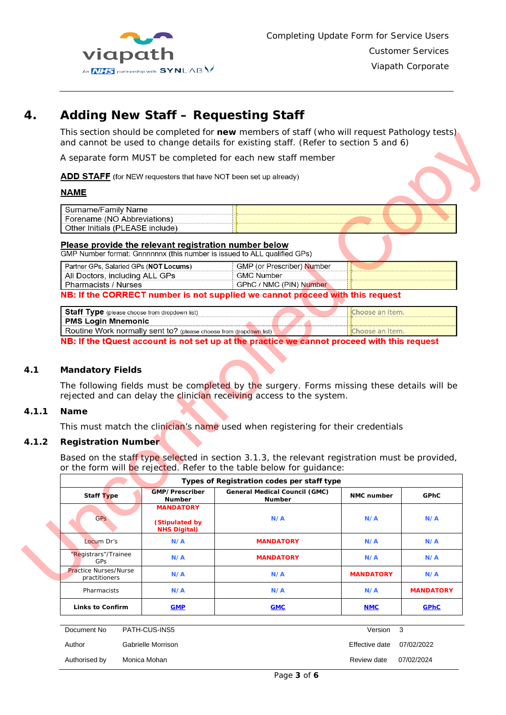

# **4. Adding New Staff – Requesting Staff**

<span id="page-2-0"></span>This section should be completed for **new** members of staff (who will request Pathology tests) and cannot be used to change details for existing staff. (Refer to section 5 and 6)

#### **NAME**

| THIS SECTION SHOULD BE COMPLETED FOR HEW MEMBERS OF STAIL (WHO WILL EQUEST FAILIOLOGY TESTS)<br>and cannot be used to change details for existing staff. (Refer to section 5 and 6) |                            |  |
|-------------------------------------------------------------------------------------------------------------------------------------------------------------------------------------|----------------------------|--|
| A separate form MUST be completed for each new staff member                                                                                                                         |                            |  |
| ADD STAFF (for NEW requesters that have NOT been set up already)                                                                                                                    |                            |  |
| NAME                                                                                                                                                                                |                            |  |
| Surname/Family Name                                                                                                                                                                 |                            |  |
| Forename (NO Abbreviations)                                                                                                                                                         |                            |  |
| Other Initials (PLEASE include)                                                                                                                                                     |                            |  |
| Please provide the relevant registration number below<br>GMP Number format: Gnnnnnnx (this number is issued to ALL qualified GPs)                                                   |                            |  |
| Partner GPs, Salaried GPs (NOT Locums)                                                                                                                                              | GMP (or Prescriber) Number |  |
| All Doctors, including ALL GPs                                                                                                                                                      | <b>GMC Number</b>          |  |
|                                                                                                                                                                                     |                            |  |

#### Please provide the relevant registration number below

| Partner GPs, Salaried GPs (NOT Locums) | <b>GMP (or Prescriber) Number</b> |  |
|----------------------------------------|-----------------------------------|--|
| All Doctors, including ALL GPs         | GMC Number                        |  |
| <b>Pharmacists / Nurses</b>            | / NMC (PIN) Number<br>GPhC        |  |

| Staff Type (please choose from dropdown list)                                                              | hoose an item.  |
|------------------------------------------------------------------------------------------------------------|-----------------|
| <b>PMS Login Mnemonic</b>                                                                                  |                 |
| Routine Work normally sent to? (please choose from dropdown list)                                          | Choose an item. |
| MINE IP Also ANDELLA LE CELLA LE RELACIONA LA Also Record Le Color de La Service de la MAR Al Le Recorde d |                 |

#### <span id="page-2-1"></span>**4.1 Mandatory Fields**

#### <span id="page-2-2"></span>**4.1.1 Name**

#### <span id="page-2-3"></span>**4.1.2 Registration Number**

|       | Partner GPs, Salaried GPs (NOT Locums)                                     |                                                 | GMP (or Prescriber) Number                                                                                                                                             |                   |                  |  |  |
|-------|----------------------------------------------------------------------------|-------------------------------------------------|------------------------------------------------------------------------------------------------------------------------------------------------------------------------|-------------------|------------------|--|--|
|       | All Doctors, including ALL GPs                                             |                                                 | <b>GMC Number</b>                                                                                                                                                      |                   |                  |  |  |
|       |                                                                            | Pharmacists / Nurses<br>GPhC / NMC (PIN) Number |                                                                                                                                                                        |                   |                  |  |  |
|       |                                                                            |                                                 | NB: If the CORRECT number is not supplied we cannot proceed with this request                                                                                          |                   |                  |  |  |
|       |                                                                            |                                                 |                                                                                                                                                                        |                   |                  |  |  |
|       | Staff Type (please choose from dropdown list)<br><b>PMS Login Mnemonic</b> |                                                 |                                                                                                                                                                        | Choose an item.   |                  |  |  |
|       | Routine Work normally sent to? (please choose from dropdown list)          |                                                 |                                                                                                                                                                        | Choose an item.   |                  |  |  |
|       |                                                                            |                                                 | NB: If the tQuest account is not set up at the practice we cannot proceed with this request                                                                            |                   |                  |  |  |
|       |                                                                            |                                                 |                                                                                                                                                                        |                   |                  |  |  |
|       |                                                                            |                                                 |                                                                                                                                                                        |                   |                  |  |  |
| 4.1   | <b>Mandatory Fields</b>                                                    |                                                 |                                                                                                                                                                        |                   |                  |  |  |
|       |                                                                            |                                                 |                                                                                                                                                                        |                   |                  |  |  |
|       |                                                                            |                                                 | The following fields must be completed by the surgery. Forms missing these details will be<br>rejected and can delay the clinician receiving access to the system.     |                   |                  |  |  |
| 4.1.1 | <b>Name</b>                                                                |                                                 |                                                                                                                                                                        |                   |                  |  |  |
|       |                                                                            |                                                 | This must match the clinician's name used when registering for their credentials                                                                                       |                   |                  |  |  |
| 4.1.2 | <b>Registration Number</b>                                                 |                                                 |                                                                                                                                                                        |                   |                  |  |  |
|       |                                                                            |                                                 | Based on the staff type selected in section 3.1.3, the relevant registration must be provided,<br>or the form will be rejected. Refer to the table below for guidance: |                   |                  |  |  |
|       |                                                                            |                                                 | Types of Registration codes per staff type                                                                                                                             |                   |                  |  |  |
|       | <b>Staff Type</b>                                                          | GMP/Prescriber<br><b>Number</b>                 | <b>General Medical Council (GMC)</b><br><b>Number</b>                                                                                                                  | <b>NMC</b> number | <b>GPhC</b>      |  |  |
|       |                                                                            | <b>MANDATORY</b>                                |                                                                                                                                                                        |                   |                  |  |  |
|       | <b>GPs</b>                                                                 | (Stipulated by<br><b>NHS Digital)</b>           | N/A                                                                                                                                                                    | N/A               | N/A              |  |  |
|       | Locum Dr's                                                                 | N/A                                             | <b>MANDATORY</b>                                                                                                                                                       | N/A               | N/A              |  |  |
|       | "Registrars"/Trainee<br>GPs                                                | N/A                                             | <b>MANDATORY</b>                                                                                                                                                       | N/A               | N/A              |  |  |
|       | Practice Nurses/Nurse<br>practitioners                                     | N/A                                             | N/A                                                                                                                                                                    | <b>MANDATORY</b>  | N/A              |  |  |
|       | Pharmacists                                                                | N/A                                             | N/A                                                                                                                                                                    | N/A               | <b>MANDATORY</b> |  |  |
|       | <b>Links to Confirm</b>                                                    | <b>GMP</b>                                      | <b>GMC</b>                                                                                                                                                             | <b>NMC</b>        | <b>GPhC</b>      |  |  |
|       |                                                                            |                                                 |                                                                                                                                                                        |                   |                  |  |  |

| Document No   | PATH-CUS-INS5      | Version        |            |
|---------------|--------------------|----------------|------------|
| Author        | Gabrielle Morrison | Effective date | 07/02/2022 |
| Authorised by | Monica Mohan       | Review date    | 07/02/2024 |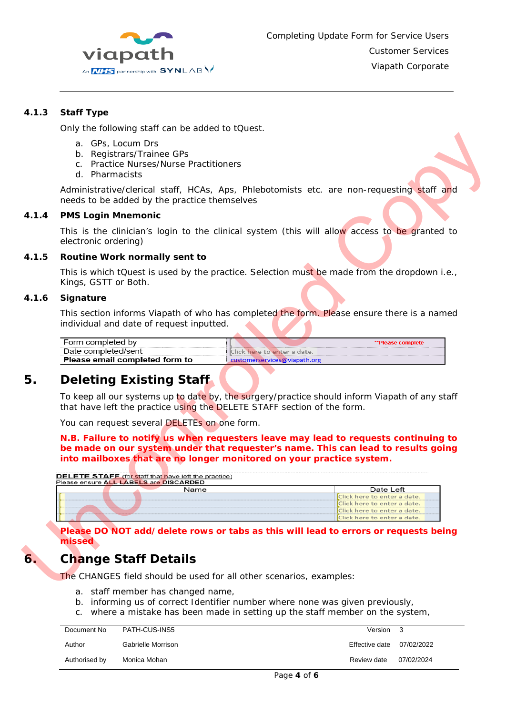

#### **4.1.3 Staff Type**

<span id="page-3-0"></span>Only the following staff can be added to tQuest.

- a. GPs, Locum Drs
- b. Registrars/Trainee GPs
- c. Practice Nurses/Nurse Practitioners
- d. Pharmacists

<span id="page-3-1"></span>Administrative/clerical staff, HCAs, Aps, Phlebotomists etc. are non-requesting staff and needs to be added by the practice themselves

#### **4.1.4 PMS Login Mnemonic**

This is the clinician's login to the clinical system (this will allow access to be granted to electronic ordering) are non-requesting staff and<br><br>
Illow access to be granted to<br>
made from the dropdown i.e.,

#### <span id="page-3-2"></span>**4.1.5 Routine Work normally sent to**

#### <span id="page-3-3"></span>**4.1.6 Signature**

| Form completed by              |                               | <b>**Please complete</b> |
|--------------------------------|-------------------------------|--------------------------|
| Date completed/sent            | . Click here to enter a date. |                          |
| Please email completed form to | customerservices@viapath.org  |                          |

## <span id="page-3-4"></span>**5. Deleting Existing Staff**

|       | This is which tQuest is used by the practice. Selection must be made from the dropdown<br>Kings, GSTT or Both.                                                                                                                            |                                                             |
|-------|-------------------------------------------------------------------------------------------------------------------------------------------------------------------------------------------------------------------------------------------|-------------------------------------------------------------|
| 4.1.6 | Signature                                                                                                                                                                                                                                 |                                                             |
|       | This section informs Viapath of who has completed the form. Please ensure there is a nar<br>individual and date of request inputted.                                                                                                      |                                                             |
|       | Form completed by                                                                                                                                                                                                                         | <b>**Please complete</b>                                    |
|       | Date completed/sent<br>Please email completed form to                                                                                                                                                                                     | Click here to enter a date.<br>customerservices@viapath.org |
| 5.    | <b>Deleting Existing Staff</b>                                                                                                                                                                                                            |                                                             |
|       | To keep all our systems up to date by, the surgery/practice should inform Viapath of any s<br>that have left the practice using the DELETE STAFF section of the form.                                                                     |                                                             |
|       | You can request several DELETEs on one form.                                                                                                                                                                                              |                                                             |
|       | N.B. Failure to notify us when requesters leave may lead to requests continuing<br>be made on our system under that requester's name. This can lead to results go<br>into mailboxes that are no longer monitored on your practice system. |                                                             |
|       | $\mathsf{DELETE}$ STAFF (for staff that have left the practice)<br>Please ensure ALL LABELS are DISCARDED                                                                                                                                 |                                                             |
|       | Name                                                                                                                                                                                                                                      | Date Left                                                   |
|       |                                                                                                                                                                                                                                           | Click here to enter a date.                                 |
|       |                                                                                                                                                                                                                                           | Click here to enter a date.<br>Click here to enter a date.  |
|       |                                                                                                                                                                                                                                           | Click here to enter a date.                                 |
|       | Please DO NOT add/delete rows or tabs as this will lead to errors or requests be<br>missed                                                                                                                                                |                                                             |
| 6.    | <b>Change Staff Details</b>                                                                                                                                                                                                               |                                                             |
|       | The CHANGES field should be used for all other scenarios, examples:                                                                                                                                                                       |                                                             |

## <span id="page-3-5"></span>**6. Change Staff Details**

- a. staff member has changed name,
- b. informing us of correct Identifier number where none was given previously,
- c. where a mistake has been made in setting up the staff member on the system,

| Document No   | PATH-CUS-INS5      | Version 3      |            |
|---------------|--------------------|----------------|------------|
| Author        | Gabrielle Morrison | Effective date | 07/02/2022 |
| Authorised by | Monica Mohan       | Review date    | 07/02/2024 |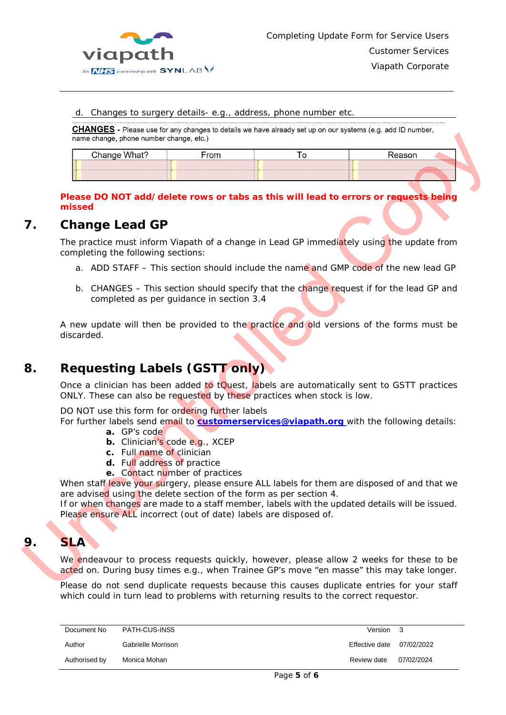

#### d. Changes to surgery details- e.g., address, phone number etc.

|            | name change, phone number change, etc.)                                                                                                                                                                                                                                 |                                                                  |                                                                         |                                                                                                                                                                                                                                                                                                    |
|------------|-------------------------------------------------------------------------------------------------------------------------------------------------------------------------------------------------------------------------------------------------------------------------|------------------------------------------------------------------|-------------------------------------------------------------------------|----------------------------------------------------------------------------------------------------------------------------------------------------------------------------------------------------------------------------------------------------------------------------------------------------|
|            | Change What?                                                                                                                                                                                                                                                            | From                                                             | To                                                                      | Reason                                                                                                                                                                                                                                                                                             |
|            |                                                                                                                                                                                                                                                                         |                                                                  |                                                                         |                                                                                                                                                                                                                                                                                                    |
|            | missed                                                                                                                                                                                                                                                                  |                                                                  |                                                                         | Please DO NOT add/delete rows or tabs as this will lead to errors or requests being                                                                                                                                                                                                                |
|            | <b>Change Lead GP</b>                                                                                                                                                                                                                                                   |                                                                  |                                                                         |                                                                                                                                                                                                                                                                                                    |
|            | completing the following sections:                                                                                                                                                                                                                                      |                                                                  |                                                                         | The practice must inform Viapath of a change in Lead GP immediately using the update from                                                                                                                                                                                                          |
|            |                                                                                                                                                                                                                                                                         |                                                                  |                                                                         | a. ADD STAFF – This section should include the name and GMP code of the new lead GP                                                                                                                                                                                                                |
|            |                                                                                                                                                                                                                                                                         | completed as per guidance in section 3.4                         |                                                                         | b. CHANGES – This section should specify that the change request if for the lead GP and                                                                                                                                                                                                            |
|            | discarded.                                                                                                                                                                                                                                                              |                                                                  |                                                                         | A new update will then be provided to the practice and old versions of the forms must be                                                                                                                                                                                                           |
|            | <b>Requesting Labels (GSTT only)</b>                                                                                                                                                                                                                                    |                                                                  |                                                                         |                                                                                                                                                                                                                                                                                                    |
|            |                                                                                                                                                                                                                                                                         |                                                                  | ONLY. These can also be requested by these practices when stock is low. | Once a clinician has been added to tQuest, labels are automatically sent to GSTT practices                                                                                                                                                                                                         |
|            | DO NOT use this form for ordering further labels<br>a. GP's code<br>c. Full name of clinician<br>d. Full address of practice<br>are advised using the delete section of the form as per section 4.<br>Please ensure ALL incorrect (out of date) labels are disposed of. | b. Clinician's code e.g., XCEP<br>e. Contact number of practices |                                                                         | For further labels send email to <b>customerservices@viapath.org</b> with the following details:<br>When staff leave your surgery, please ensure ALL labels for them are disposed of and that we<br>If or when changes are made to a staff member, labels with the updated details will be issued. |
| <b>SLA</b> |                                                                                                                                                                                                                                                                         |                                                                  |                                                                         |                                                                                                                                                                                                                                                                                                    |
|            |                                                                                                                                                                                                                                                                         |                                                                  |                                                                         | We endeavour to process requests quickly, however, please allow 2 weeks for these to be<br>acted on. During busy times e.g., when Trainee GP's move "en masse" this may take longer.                                                                                                               |
|            |                                                                                                                                                                                                                                                                         |                                                                  |                                                                         | Please do not send duplicate requests because this causes duplicate entries for your staff                                                                                                                                                                                                         |

#### <span id="page-4-0"></span>**Please DO NOT add/delete rows or tabs as this will lead to errors or requests being missed**

## **7. Change Lead GP**

- a. ADD STAFF This section should include the name and GMP code of the new lead GP
- b. CHANGES This section should specify that the change request if for the lead GP and completed as per guidance in section 3.4

# <span id="page-4-1"></span>**8. Requesting Labels (GSTT only)**

- **a.** GP's code
- **b.** Clinician's code e.g., XCEP
- **c.** Full name of clinician
- **d.** Full address of practice
- **e.** Contact number of practices

## <span id="page-4-2"></span>**9. SLA**

Please do not send duplicate requests because this causes duplicate entries for your staff which could in turn lead to problems with returning results to the correct requestor.

| Document No   | PATH-CUS-INS5      | Version 3      |            |
|---------------|--------------------|----------------|------------|
| Author        | Gabrielle Morrison | Effective date | 07/02/2022 |
| Authorised by | Monica Mohan       | Review date    | 07/02/2024 |